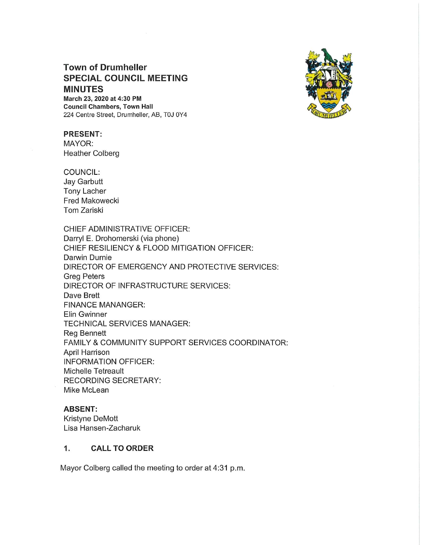# Town of Drumheller SPECIAL COUNCIL MEETING MINUTES

March 23,2020 at 4:30 PM Council Chambers, Town Hall 224 Centre Street, Drumheller, AB, TOJ OY4



# PRESENT:

MAYOR: Heather Colberg

COUNCIL:

Jay Garbutt Tony Lacher Fred Makowecki Tom Zariski

CHIEF ADMINISTRATIVE OFFICER: Darryl E. Drohomerski (via phone) CHIEF RESILIENCY & FLOOD MITIGATION OFFICER: Darwin Durnie DIRECTOR OF EMERGENCY AND PROTECTIVE SERVICES: Greg Peters DIRECTOR OF INFRASTRUCTURE SERVICES: Dave Brett FINANCE MANANGER: Elin Gwinner TECHNICAL SERVICES MANAGER: Reg Bennett FAMILY & COMMUNITY SUPPORT SERVICES COORDINATOR: April Harrison INFORMATION OFFICER: Michelle Tetreault RECORDING SECRETARY: Mike McLean

# ABSENT:

Kristyne DeMott Lisa Hansen-Zacharuk

# 1. CALL TO ORDER

Mayor Colberg called the meeting to order at 4:31 p.m.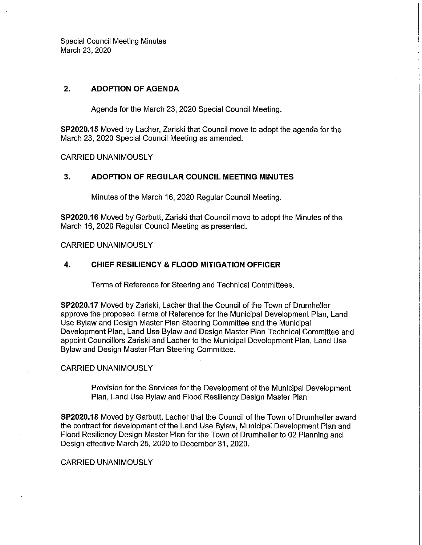Special Council Meeting Minutes March 23, 2020

# 2. ADOPTION OF AGENDA

Agenda for the March 23, 2020 Special Council Meeting.

SP2020.15 Moved by Lacher, Zariski that Council move to adopt the agenda for the March 23, 2020 Special Council Meeting as amended.

CARRIED UNANIMOUSLY

## 3. ADOPTION OF REGULAR COUNCIL MEETING MINUTES

Minutes of the March 16,2020 Regular Council Meeting.

SP2020.16 Moved by Garbutt, Zariski that Council move to adopt the Minutes of the March 16, 2020 Regular Council Meeting as presented.

CARRIED UNANIMOUSLY

#### 4. CHIEF RESILIENCY & FLOOD MITIGATION OFFICER

Terms of Reference for Steering and Technical Committees.

SP2020.17 Moved by Zariski, Lacher that the Council of the Town of Drumheller approve the proposed Terms of Reference for the Municipal Development Plan, Land Use Bylaw and Design Master Plan Steering Committee and the Municipal Development Plan, Land Use Bylaw and Design Master Plan Technical Committee and appoint Councillors Zariski and Lacher to the Municipal Development Plan, Land Use Bylaw and Design Master Plan Steering Committee.

#### CARRIED UNANIMOUSLY

Provision for the Services for the Development of the Municipal Development Plan, Land Use Bylaw and Flood Resiliency Design Master Plan

SP2020.18 Moved by Garbutt, Lacher that the Council of the Town of Drumheller award the contract for development of the Land Use Bylaw, Municipal Development Plan and Flood Resiliency Design Master Plan for the Town of Drumheller to 02 Planning and Design effective March 25, 2020 to December 31, 2020.

#### CARRIED UNANIMOUSLY